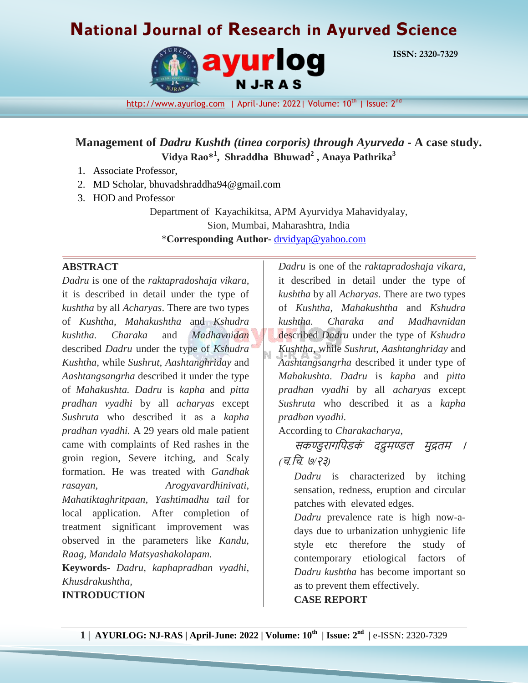# **National Journal of Research in Ayurved Science**



**ISSN: 2320-7329**

[http://www.ayurlog.com](http://www.ayurlog.com/) | April-June: 2022| Volume: 10<sup>th</sup> | Issue: 2<sup>nd</sup>

**Management of** *Dadru Kushth (tinea corporis) through Ayurveda* **- A case study. Vidya Rao\*<sup>1</sup> , Shraddha Bhuwad<sup>2</sup> , Anaya Pathrika<sup>3</sup>**

- 1. Associate Professor,
- 2. MD Scholar, bhuvadshraddha94@gmail.com
- 3. HOD and Professor

Department of Kayachikitsa, APM Ayurvidya Mahavidyalay, Sion, Mumbai, Maharashtra, India \***Corresponding Author-** [drvidyap@yahoo.com](mailto:drvidyap@yahoo.com)

#### **ABSTRACT**

*Dadru* is one of the *raktapradoshaja vikara,* it is described in detail under the type of *kushtha* by all *Acharyas*. There are two types of *Kushtha*, *Mahakushtha* and *Kshudra kushtha. Charaka* and *Madhavnidan* described *Dadru* under the type of *Kshudra Kushtha*, while *Sushrut*, *Aashtanghriday* and *Aashtangsangrha* described it under the type of *Mahakushta. Dadru* is *kapha* and *pitta pradhan vyadhi* by all *acharyas* except *Sushruta* who described it as a *kapha pradhan vyadhi.* A 29 years old male patient came with complaints of Red rashes in the groin region, Severe itching, and Scaly formation. He was treated with *Gandhak rasayan, Arogyavardhinivati, Mahatiktaghritpaan, Yashtimadhu tail* for local application. After completion of treatment significant improvement was observed in the parameters like *Kandu, Raag, Mandala Matsyashakolapam.*

**Keywords-** *Dadru, kaphapradhan vyadhi, Khusdrakushtha,*

**INTRODUCTION**

*Dadru* is one of the *raktapradoshaja vikara*, it described in detail under the type of *kushtha* by all *Acharyas*. There are two types of *Kushtha*, *Mahakushtha* and *Kshudra kushtha. Charaka and Madhavnidan* described *Dadru* under the type of *Kshudra Kushtha*, while *Sushrut*, *Aashtanghriday* and *Aashtangsangrha* described it under type of *Mahakushta*. *Dadru* is *kapha* and *pitta pradhan vyadhi* by all *acharyas* except *Sushruta* who described it as a *kapha pradhan vyadhi.*

According to *Charakacharya*,

सकण्डुरागपिडकं दद्रुमण्डल मुद्रतम । *(*च*.*पच*.* ७*/*२३*)*

*Dadru* is characterized by itching sensation, redness, eruption and circular patches with elevated edges.

*Dadru* prevalence rate is high now-adays due to urbanization unhygienic life style etc therefore the study of contemporary etiological factors of *Dadru kushtha* has become important so as to prevent them effectively.

#### **CASE REPORT**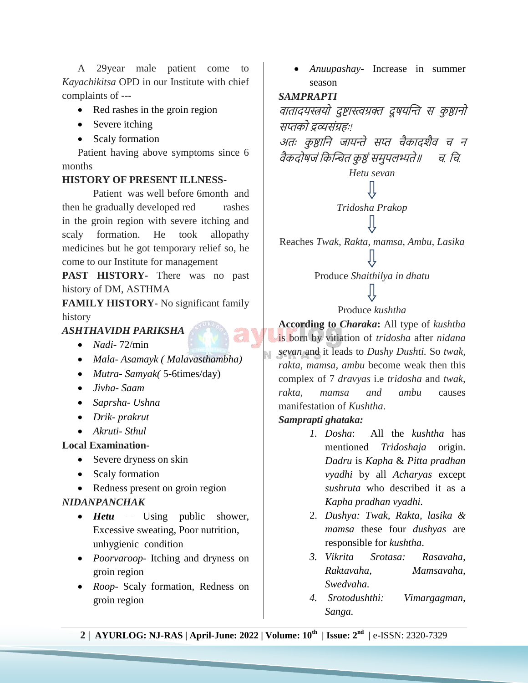A 29year male patient come to *Kayachikitsa* OPD in our Institute with chief complaints of ---

- Red rashes in the groin region
- Severe itching
- Scaly formation

 Patient having above symptoms since 6 months

#### **HISTORY OF PRESENT ILLNESS-**

Patient was well before 6month and then he gradually developed red rashes in the groin region with severe itching and scaly formation. He took allopathy medicines but he got temporary relief so, he come to our Institute for management

**PAST HISTORY-** There was no past history of DM, ASTHMA

**FAMILY HISTORY-** No significant family history

*ASHTHAVIDH PARIKSHA*

- *Nadi* 72/min
- *Mala Asamayk ( Malavasthambha)*
- *Mutra- Samyak(* 5-6times/day)
- *Jivha- Saam*
- *Saprsha- Ushna*
- *Drik- prakrut*
- *Akruti- Sthul*

## **Local Examination-**

- Severe dryness on skin
- Scaly formation
- Redness present on groin region

## *NIDANPANCHAK*

- *Hetu* Using public shower, Excessive sweating, Poor nutrition, unhygienic condition
- *Poorvaroop* Itching and dryness on groin region
- *Roop* Scaly formation, Redness on groin region

 *Anuupashay*- Increase in summer season

## *SAMPRAPTI*

वातादयस्त्रयो दुष्टास्त्वग्रक्त द्रुषयन्ति स कुष्ठानो सप्तको द्रव्यसंग्रहः*!*

अतः कुष्ठानि जायन्ते सप्त चैकादशैव च न वैकदोषजं पकन्तित कु ष्ठं समुिलभ्यते॥<sup>च</sup>*.* पच*.*

## *Hetu sevan*

## ſļ *Tridosha Prakop*

Reaches *Twak, Rakta, mamsa, Ambu, Lasika*

Produce *Shaithilya in dhatu*

## Produce *kushtha*

**According to** *Charaka***:** All type of *kushtha* is born by vitiation of *tridosha* after *nidana sevan* and it leads to *Dushy Dushti.* So *twak, rakta, mamsa, ambu* become weak then this complex of 7 *dravyas* i.e *tridosha* and *twak, rakta, mamsa and ambu* causes manifestation of *Kushtha*.

## *Samprapti ghataka:*

- *1. Dosha*: All the *kushtha* has mentioned *Tridoshaja* origin. *Dadru* is *Kapha* & *Pitta pradhan vyadhi* by all *Acharyas* except *sushruta* who described it as a *Kapha pradhan vyadhi.*
- 2. *Dushya: Twak, Rakta, lasika & mamsa* these four *dushyas* are responsible for *kushtha*.
- *3. Vikrita Srotasa: Rasavaha, Raktavaha, Mamsavaha, Swedvaha.*
- *4. Srotodushthi: Vimargagman, Sanga.*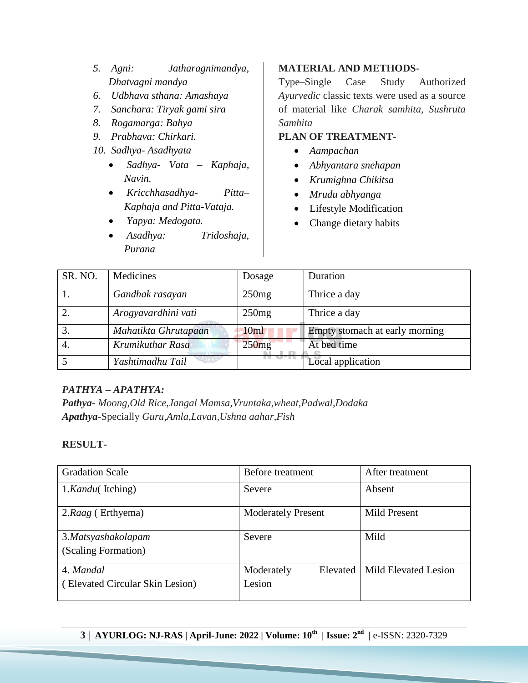- *5. Agni: Jatharagnimandya, Dhatvagni mandya*
- *6. Udbhava sthana: Amashaya*
- *7. Sanchara: Tiryak gami sira*
- *8. Rogamarga: Bahya*
- *9. Prabhava: Chirkari.*
- *10. Sadhya- Asadhyata* 
	- *Sadhya- Vata – Kaphaja, Navin.*
	- *Kricchhasadhya- Pitta– Kaphaja and Pitta-Vataja.*
	- *Yapya: Medogata.*
	- *Asadhya: Tridoshaja, Purana*

## **MATERIAL AND METHODS-**

Type–Single Case Study Authorized *Ayurvedic* classic texts were used as a source of material like *Charak samhita, Sushruta Samhita*

## **PLAN OF TREATMENT-**

- *Aampachan*
- *Abhyantara snehapan*
- *Krumighna Chikitsa*
- *Mrudu abhyanga*
- Lifestyle Modification
- Change dietary habits

| SR. NO. | Medicines            | Dosage | Duration                       |
|---------|----------------------|--------|--------------------------------|
|         | Gandhak rasayan      | 250mg  | Thrice a day                   |
|         | Arogyavardhini vati  | 250mg  | Thrice a day                   |
|         | Mahatikta Ghrutapaan | 10ml   | Empty stomach at early morning |
| 4.      | Krumikuthar Rasa     | 250mg  | At bed time                    |
|         | Yashtimadhu Tail     |        | Local application              |

## *PATHYA – APATHYA:*

*Pathya- Moong,Old Rice,Jangal Mamsa,Vruntaka,wheat,Padwal,Dodaka Apathya-*Specially *Guru,Amla,Lavan,Ushna aahar,Fish*

## **RESULT-**

| <b>Gradation Scale</b>                       | Before treatment                 | After treatment      |
|----------------------------------------------|----------------------------------|----------------------|
| 1.Kandu(Itching)                             | Severe                           | Absent               |
| 2.Raag (Erthyema)                            | <b>Moderately Present</b>        | <b>Mild Present</b>  |
| 3.Matsyashakolapam<br>(Scaling Formation)    | Severe                           | Mild                 |
| 4. Mandal<br>(Elevated Circular Skin Lesion) | Moderately<br>Elevated<br>Lesion | Mild Elevated Lesion |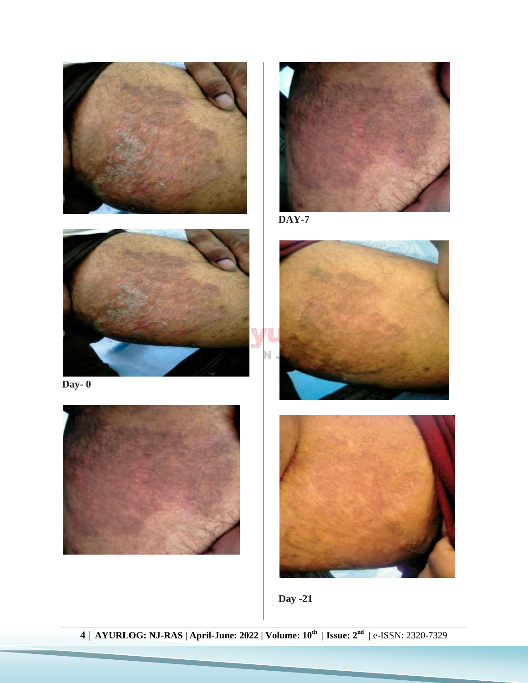







**Day- 0**